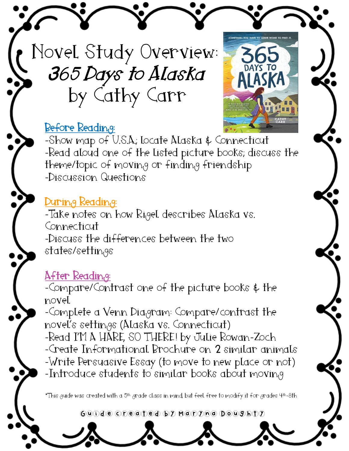Novel Study Overview: 365 Days to Alaska by Cathy Carr

### Before Reading:



-Show map of U.S.A.; locate Alaska & Connecticut -Read aloud one of the listed picture books; discuss the theme/topic of moving or finding friendship -Discussion Questions

### During Reading:

-Take notes on how Rigel describes Alaska vs. Connecticut -Discuss the differences between the two  $states/s$ ettings

### After Reading:

-Compare/Contrast one of the picture books & the novel

-Complete a Venn Diagram: Compare/contrast the novel's settings (Alaska vs. Connecticut) -Read I'M A HARE, SO THERE! by Julie Rowan-Zoch -Create Informational Brochure on 2 similar animals -Write Persuasive Essay (to move to new place or not) -Introduce students to similar books about moving

\*This guide was created with a 5th grade class in mind, but feel free to modify it for grades 4th-8th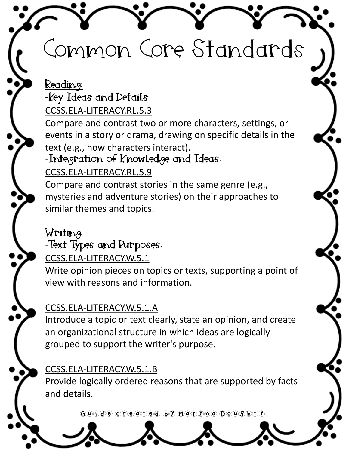# Common Core Standards

### Readin<sub>g</sub>: -Key Ideas and Details:

[CCSS.ELA-LITERACY.RL.5.3](http://www.corestandards.org/ELA-Literacy/RL/5/3/)

Compare and contrast two or more characters, settings, or events in a story or drama, drawing on specific details in the text (e.g., how characters interact).

### -Integration of  $K$ nowledge and Ideas:

### [CCSS.ELA-LITERACY.RL.5.9](http://www.corestandards.org/ELA-Literacy/RL/5/9/)

Compare and contrast stories in the same genre (e.g., mysteries and adventure stories) on their approaches to similar themes and topics.

### ${\bf W}$ riting:

### -Text Types and Purposes:

[CCSS.ELA-LITERACY.W.5.1](http://www.corestandards.org/ELA-Literacy/W/5/1/)

Write opinion pieces on topics or texts, supporting a point of view with reasons and information.

#### [CCSS.ELA-LITERACY.W.5.1.A](http://www.corestandards.org/ELA-Literacy/W/5/1/a/)

Introduce a topic or text clearly, state an opinion, and create an organizational structure in which ideas are logically grouped to support the writer's purpose.

### [CCSS.ELA-LITERACY.W.5.1.B](http://www.corestandards.org/ELA-Literacy/W/5/1/b/)

Provide logically ordered reasons that are supported by facts and details.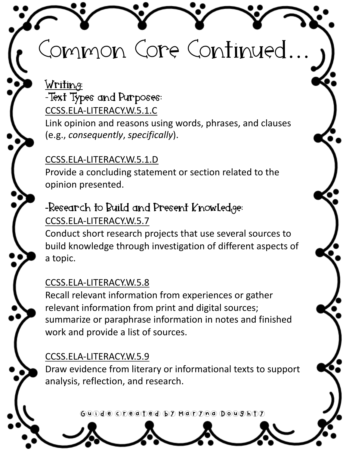# Common Core Continued…

<u>Writing:</u> -Text Types and Purposes: [CCSS.ELA-LITERACY.W.5.1.C](http://www.corestandards.org/ELA-Literacy/W/5/1/c/) Link opinion and reasons using words, phrases, and clauses (e.g., *consequently*, *specifically*).

### [CCSS.ELA-LITERACY.W.5.1.D](http://www.corestandards.org/ELA-Literacy/W/5/1/d/)

Provide a concluding statement or section related to the opinion presented.

### -Research to Build and Present Knowled $_{q}$ ge:

#### [CCSS.ELA-LITERACY.W.5.7](http://www.corestandards.org/ELA-Literacy/W/5/7/)

Conduct short research projects that use several sources to build knowledge through investigation of different aspects of a topic.

#### [CCSS.ELA-LITERACY.W.5.8](http://www.corestandards.org/ELA-Literacy/W/5/8/)

Recall relevant information from experiences or gather relevant information from print and digital sources; summarize or paraphrase information in notes and finished work and provide a list of sources.

#### [CCSS.ELA-LITERACY.W.5.9](http://www.corestandards.org/ELA-Literacy/W/5/9/)

Draw evidence from literary or informational texts to support analysis, reflection, and research.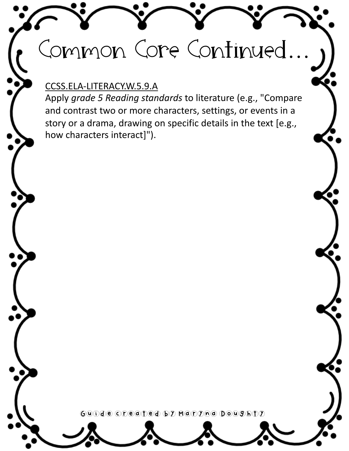# Common Core Continued…

#### [CCSS.ELA-LITERACY.W.5.9.A](http://www.corestandards.org/ELA-Literacy/W/5/9/a/)

Apply *grade 5 Reading standards* to literature (e.g., "Compare and contrast two or more characters, settings, or events in a story or a drama, drawing on specific details in the text [e.g., how characters interact]").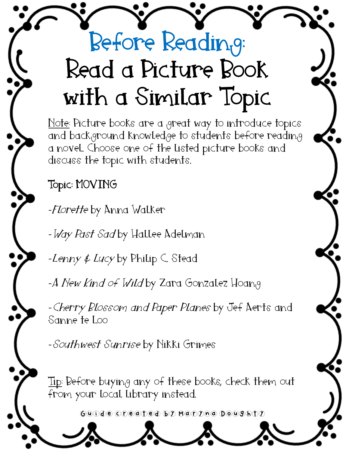# Before Reading: Read a Picture Book with a Similar Topic

Note: Picture books are a great way to introduce topics and background knowledge to students before reading a novel. Choose one of the listed picture books and discuss the topic with students.

## Topic: MOVING

-Florette by Anna Walker

- Way Past Sad by Hallee Adelman

-Lenny  $\notin Lucy$  by Philip C. Stead

-A New Kind of Wild by Zara Gonzalez Hoang

-Cherry Blossom and Paper Planes by Jef Aerts and Sanne te Loo

-Southwest Sunrise by Nikki Grimes

Tip: Before buying any of these books, check them out from your local library instead.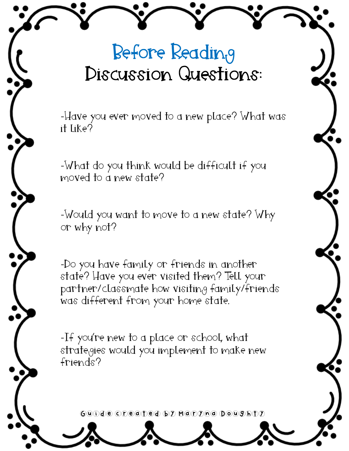# Before Readin<sub>g</sub> Discussion Questions:

-Have you ever moved to a new place? What was it like?

-What do you think would be difficult if you moved to a new state?

-Would you want to move to a new state? Why or why not?

-Do you have family or friends in another state? Have you ever visited them? Tell your partner/classmate how visiting family/friends was different from your home state.

-If you're new to a place or school, what strategies would you implement to make new friends?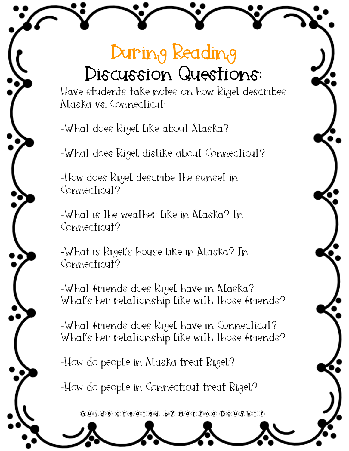# During Reading Discussion Questions:

Have students take notes on how Rigel describes Alaska vs. Connecticut:

-What does Rigel like about Alaska?

-What does Rigel dislike about Connecticut?

-How does Rigel describe the sunset in Connecticut?

-What is the weather like in Alaska? In Connecticut?

-What is Rigel's house like in Alaska? In Connecticut?

-What friends does Rigel have in Alaska? What's her relationship like with those friends?

-What friends does Rigel have in Connecticut? What's her relationship like with those friends?

-How do people in Alaska treat Rigel?

-How do people in Connecticut treat Rigel?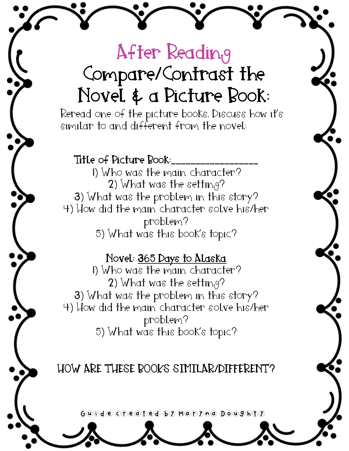# After Reading Compare/Contrast the Novel & a Picture Book:

Reread one of the picture books. Discuss how it's similar to and different from the novel:

#### Title of Picture Rook:

1) Who was the main character? 2) What was the setting? 3) What was the problem in this story? 4) How did the main character solve his/her problem? 5) What was this book's topic?

#### Novel: 365 Days to Alaska

1) Who was the main character? 2) What was the setting? 3) What was the problem in this story? 4) How did the main character solve his/her problem? 5) What was this book's topic?

### HOW ARE THESE BOOKS SIMILAR/DIFFERENT?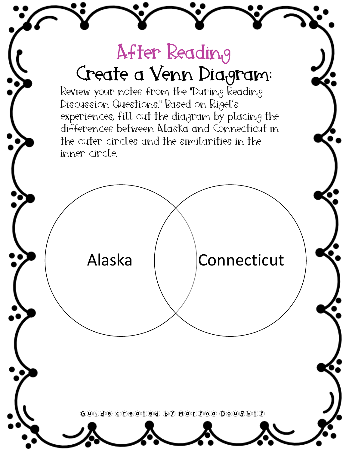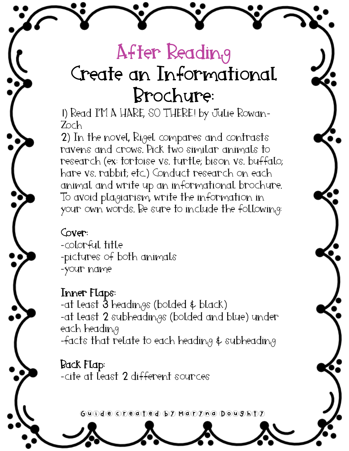# After Readin<sub>t</sub>9 Create an Informational Brochure:

1) Read I'M A HARE, SO THERE! by Julie Rowan-Zoch

2) In the novel, Rigel compares and contrasts ravens and crows. Pick two similar animals to research (ex: tortoise vs. turtle; bison vs. buffalo; hare vs. rabbit; etc.) Conduct research on each animal and write up an informational brochure. To avoid plagiarism, write the information in your own words. Be sure to include the following:

Cover:

-colorful title -pictures of both animals -your name

Inner Flaps: -at least  $\bar{\mathfrak{d}}$  headings (bolded  $\bar{\mathfrak{e}}$  black) -at least 2 subheadings (bolded and blue) under each heading -facts that relate to each heading  $\oint$  subheading

Back Flap: -cite at least 2 different sources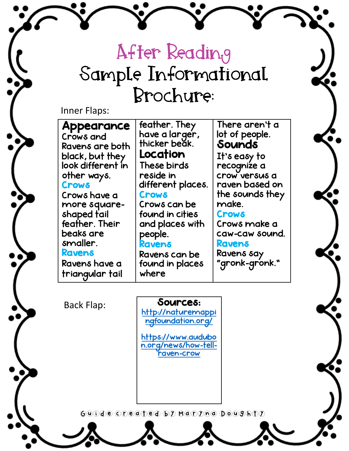# After Reading Sample Informational Brochure:

#### Inner Flaps:

| <b>Appearance</b> | feather. They                   | There aren't a  |
|-------------------|---------------------------------|-----------------|
| Crows and         | have a larger,<br>thicker beak. | lot of people.  |
| Ravens are both   |                                 | Sounds          |
| black, but they   | Location                        | It's easy to    |
| look different in | These birds                     | recognize a     |
| other ways.       | reside in                       | crow versus a   |
| <b>Crows</b>      | different places.               | raven based on  |
| Crows have a      | <b>Crows</b>                    | the sounds they |
| more square-      | Crows can be                    | make.           |
| shaped tail       | found in cities                 | <b>Crows</b>    |
| feather. Their    | and places with                 | Crows make a    |
| beaks are         | people.                         | caw-caw sound.  |
| smaller.          | <b>Ravens</b>                   | <b>Ravens</b>   |
| <b>Ravens</b>     | Ravens can be                   | Ravens say      |
| Ravens have a     | found in places                 | "gronk-gronk."  |
| triangular tail   | where                           |                 |

Back Flap:

#### Sources:

[http://naturemappi](http://naturemappingfoundation.org/) ngfoundation.org/

https://www.audubo [n.org/news/how-tell](https://www.audubon.org/news/how-tell-raven-crow)raven-crow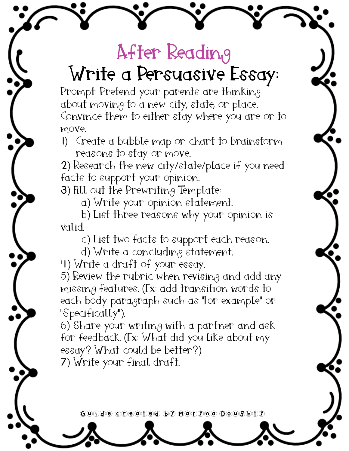# After Reading Write a Persuasive Essay:

Prompt: Pretend your parents are thinking about moving to a new city, state, or place. Convince them to either stay where you are or to move.

1) Create a bubble map or chart to brainstorm reasons to stay or move.

2) Research the new city/state/place if you need facts to support your opinion.

3) Fill out the Prewriting Template:

a) Write your opinion statement.

b) List three reasons why your opinion is valid.

c) List two facts to support each reason.

d) Write a concluding statement.

4) Write a draft of your essay.

5) Review the rubric when revising and add any missing features. (Ex: add transition words to each body paragraph such as "For example" or "Specifically").

6) Share your writing with a partner and ask for feedback. (Ex: What did you like about my essay? What could be better?) 7) Write your final draft.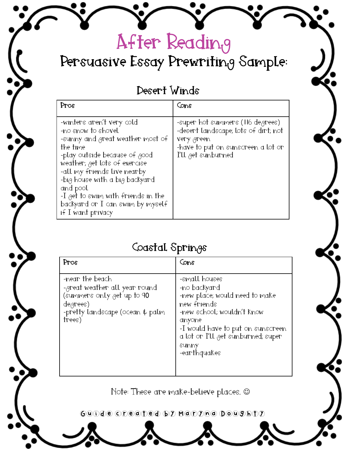## Persuasive Essay Prewriting Sample:

After Reading

### Desert Winds

| Pros                                                                                                                                                                                                                                                                                                                                          | Cons                                                                                                                                                                          |
|-----------------------------------------------------------------------------------------------------------------------------------------------------------------------------------------------------------------------------------------------------------------------------------------------------------------------------------------------|-------------------------------------------------------------------------------------------------------------------------------------------------------------------------------|
| -winters aren't very cold<br>-no snow to shovel<br>-sunny and great weather most of<br>the time<br>-play outside because of good<br>weather; get lots of exercise<br>-all my friends live nearby<br>-big house with a big backyard<br>and pool<br>-I get to swim with friends in the<br>backyard or I can swim by myself<br>if I want privacy | -super hot summers (116 de <sub>i</sub> grees)<br>-desert landscape; lots of dirt; not<br>very green<br>-have to put on sunscreen a lot or<br>I'll <sub>i</sub> get sunburned |

### Coastal Springs

| Pros                                                                                                                                                                                 | Cons                                                                                                                                                                                                                       |
|--------------------------------------------------------------------------------------------------------------------------------------------------------------------------------------|----------------------------------------------------------------------------------------------------------------------------------------------------------------------------------------------------------------------------|
| -near the beach<br>-great weather all year round<br>(summers only <sub>i</sub> get up to 9 <b>0</b><br>$deg$ rees)<br>-pretty landscape (ocean $\oint$ palm<br>$ {\rm{free}}\rangle$ | -small houses<br>-no backyard<br>-new place; would need to make<br>new friends<br>-new school; wouldn't know<br>anyone<br>-I would have to put on sunscreen<br>a lot or I'll get sunburned; super<br>SUNNY<br>-earthquakes |

Note: These are make-believe places. @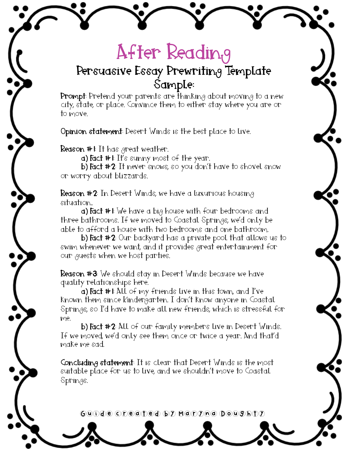# After Readin<sub>t</sub>9

### Persuasive Essay Prewriting Template Sample:

Prompt: Pretend your parents are thinking about moving to a new city, state, or place. Convince them to either stay where you are or to move.

Opinion statement: Desert Winds is the best place to live.

**Reason**  $#I$ **:** It has great weather.

a) Fact #1: It's sunny most of the year.

b) Fact #2: It never snows, so you don't have to shovel snow or worry about blizzards.

Reason #2: In Desert Winds, we have a luxurious housing situation..

**a) Fact**  $#$  I: We have a big house with four bedrooms and three bathrooms. If we moved to Coastal Springs, we'd only be able to afford a house with two bedrooms and one bathroom.

b) Fact #2: Our backyard has a private pool that allows us to swim whenever we want, and it provides great entertainment for our guests when we host parties.

Reason #3: We should stay in Desert Winds because we have quality relationships here.

a) Fact #1: All of my friends live in this town, and I've known them since Kindergarten. I don't know anyone in Coastal Springs, so I'd have to make all new friends, which is stressful for me.

b) Fact #2: All of our family members live in Desert Winds. If we moved, we'd only see them once or twice a year. And that'd make me sad.

Concluding statement: It is clear that Desert Winds is the most suitable place for us to live, and we shouldn't move to Coastal  $Sprin_{0}9s$ .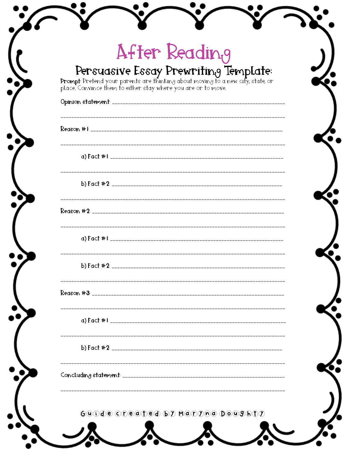| Persuasive Essay Prewriting Template:                                                                                                            |  |
|--------------------------------------------------------------------------------------------------------------------------------------------------|--|
| Prompt: Pretend your parents are thinking about moving to a new city, state, or<br>place. Convince them to either stay where you are or to move. |  |
|                                                                                                                                                  |  |
|                                                                                                                                                  |  |
|                                                                                                                                                  |  |
|                                                                                                                                                  |  |
|                                                                                                                                                  |  |
|                                                                                                                                                  |  |
|                                                                                                                                                  |  |
|                                                                                                                                                  |  |
|                                                                                                                                                  |  |
|                                                                                                                                                  |  |
|                                                                                                                                                  |  |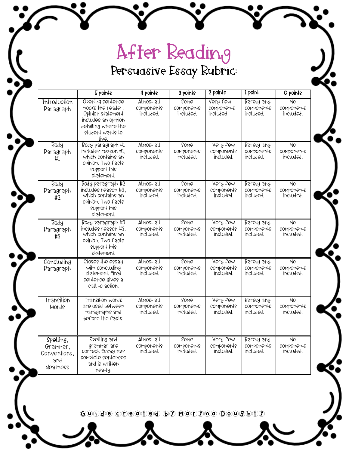## After Reading Persuasive Essay Rubric:

|                                                          | 5 points                                                                                                                              | 4 points                              | 3 points                        | 2 points                            | $1$ point                             | O points                                  |
|----------------------------------------------------------|---------------------------------------------------------------------------------------------------------------------------------------|---------------------------------------|---------------------------------|-------------------------------------|---------------------------------------|-------------------------------------------|
| Introduction<br>Paragraph                                | Opening sentence<br>hooks the reader.<br>Opinion statement<br>includes an opinion<br>detailing where the<br>student wants to<br>live. | Almost all<br>components<br>included. | Some<br>components<br>included. | Very few<br>components<br>included  | Barely any<br>components<br>included. | $\overline{N}$<br>components<br>included. |
| $B$ 04 $A$<br>Paragraph<br>#1                            | Body paragraph #1<br>includes reason #1.<br>which contains an<br>opinion. Two facts<br>support this<br>statement.                     | Almost all<br>components<br>included. | Some<br>components<br>included. | Very few<br>components<br>included. | Barely any<br>components<br>included. | N <sub>O</sub><br>components<br>included. |
| B09A<br>Paragraph<br>#2                                  | Body paragraph #2<br>includes reason #2.<br>which contains an<br>opinion. Two facts<br>support this<br>statement.                     | Almost all<br>components<br>included. | Some<br>components<br>included. | Very few<br>components<br>included. | Barely any<br>components<br>included. | N <sub>O</sub><br>components<br>included. |
| <b>Boq<sub>H</sub></b><br>Paragraph<br>#3                | Body paragraph #3<br>includes reason #3.<br>which confains an<br>opinion. Two facts<br>support this<br>statement.                     | Almost all<br>components<br>included. | Some<br>components<br>included. | Very few<br>components<br>included. | Barely any<br>components<br>included. | NO.<br>components<br>included.            |
| Concluding<br>Paragraph                                  | Closes the essay<br>with concluding<br>statement. Final<br>sentence gives a<br>call to action.                                        | Almost all<br>components<br>included. | Some<br>components<br>included. | Very few<br>components<br>included. | Barely any<br>components<br>included. | N <sub>O</sub><br>components<br>included. |
| Transilion<br><b>Words</b>                               | Transi <del>l</del> ion words<br>are used belween<br>paragraphs and<br>before the facts.                                              | Almost all<br>components<br>included. | Some<br>components<br>included. | Very few<br>components<br>included. | Barely any<br>components<br>included. | <b>NO</b><br>components<br>included.      |
| Spelling,<br>Grammar,<br>Conventions.<br>3nd<br>Nealness | Spelling and<br>arammar are<br>correct. Essay has<br>complete sentences<br>and is wrillen<br>neally.                                  | Almost all<br>components<br>included. | Some<br>components<br>included. | Very few<br>components<br>included. | Barely any<br>components<br>included. | N <sub>O</sub><br>components<br>included. |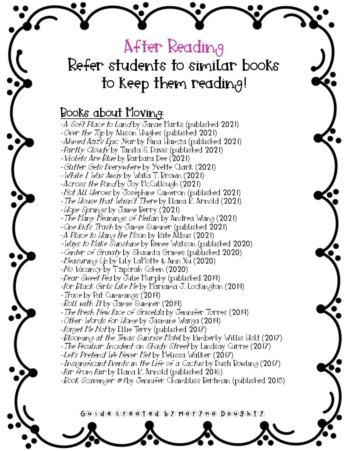## After Reading Refer students to similar books to keep them reading!

### Books about Moving:

-A Soft Place to Land by Janae Marks (published 2021) -Over the Top by Alison Hughes (published 2021) -Ahmed Aziz's Epic Year by Nina Hamza (published 2021) -*Partly Cloudy* by Tanita<sup>'</sup>S. Davis (published **2021**) -Violets Are Blue by Barbara Dee (2021) -Glitter Gets Everywhere by Yvette Clark (2021) -While I Was Away by Waka T. Brown (2021) -Across the Pond by Joy McCullough (2021) -Not All Heroes by Josephine Cameron (published 2021) -The House that Wasn't There by Elana K. Arnold (2021) -*Hope Springs* by Jaime Berry (2021) -*The Many Meanings of Meilan* by Andrea Wang (2021) -One Kid's Trash by Jamie Sumner (published 2021) -A Place to Hang the Moon by Kate Albus (2021) -*Ways to Make Sunshine* by Renee Watson (published 2020) -Center of Gravity by Shaunta Grimes (published 2020) -Neasuring Up by Lily LaMotte  $\rlap{-}$  Ann Xu (2020) -No Vacancy by Tziporah Cohen (2020) -Dear Sweet Pea by Julie Murphy (published 2019) -For *Black Girls Like Me* by Mariama J. Lockington (2019) -Trace by Pat Cummings  $(2019)$ -Roll with It by Jamie Sumner (2019) - The Fresh New Face of Griselda by Jennifer Torres (2019) -Other Words for Home by Jasmine Warga (2019) -Forget Me Not by Ellie Terry (published 2017) -Blooming at the Texas Sunrise Motel by Kimberly Willis Holt (2017) - The Peculiar Incident on Shady Street by Lindsay Currie (2017) -*Let's Pretend We Never Met* by Melissa Walker (2017) -*Insignificant Events in the Life of a Cactus* by Dusti Bowling (2017) -Far from Fair by Elana K. Arnold (published 2016) -*Book Scavenger #1* by Jennifer Chambliss Bertman (published 2015)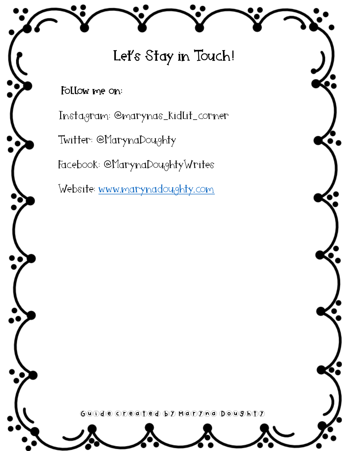Let's Stay in Touch!

Follow me on:

Instagram: @marynas\_kidlit\_corner

Twitter: @MarynaDoughty

Facebook: @MarynaDoughtyWrites

Website: [www.marynadoughty.com](https://www.marynadoughty.com/)